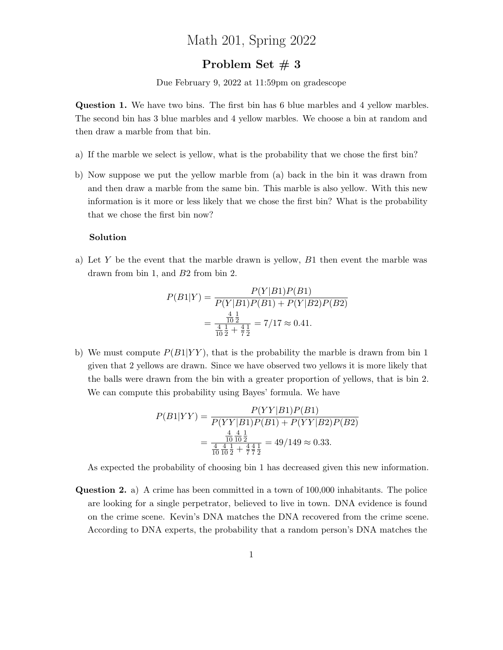## Math 201, Spring 2022

## Problem Set  $# 3$

Due February 9, 2022 at 11:59pm on gradescope

Question 1. We have two bins. The first bin has 6 blue marbles and 4 yellow marbles. The second bin has 3 blue marbles and 4 yellow marbles. We choose a bin at random and then draw a marble from that bin.

- a) If the marble we select is yellow, what is the probability that we chose the first bin?
- b) Now suppose we put the yellow marble from (a) back in the bin it was drawn from and then draw a marble from the same bin. This marble is also yellow. With this new information is it more or less likely that we chose the first bin? What is the probability that we chose the first bin now?

## Solution

a) Let Y be the event that the marble drawn is yellow,  $B_1$  then event the marble was drawn from bin 1, and B2 from bin 2.

$$
P(B1|Y) = \frac{P(Y|B1)P(B1)}{P(Y|B1)P(B1) + P(Y|B2)P(B2)}
$$
  
= 
$$
\frac{\frac{4}{10}\frac{1}{2}}{\frac{4}{10}\frac{1}{2} + \frac{4}{7}\frac{1}{2}} = \frac{7}{17} \approx 0.41.
$$

b) We must compute  $P(B1|YY)$ , that is the probability the marble is drawn from bin 1 given that 2 yellows are drawn. Since we have observed two yellows it is more likely that the balls were drawn from the bin with a greater proportion of yellows, that is bin 2. We can compute this probability using Bayes' formula. We have

$$
P(B1|YY) = \frac{P(YY|B1)P(B1)}{P(YY|B1)P(B1) + P(YY|B2)P(B2)}
$$
  
= 
$$
\frac{\frac{4}{10} \frac{4}{10} \frac{1}{10}}{\frac{4}{10} \frac{4}{10} \frac{1}{2} + \frac{4}{7} \frac{4}{7} \frac{1}{2}} = 49/149 \approx 0.33.
$$

As expected the probability of choosing bin 1 has decreased given this new information.

Question 2. a) A crime has been committed in a town of 100,000 inhabitants. The police are looking for a single perpetrator, believed to live in town. DNA evidence is found on the crime scene. Kevin's DNA matches the DNA recovered from the crime scene. According to DNA experts, the probability that a random person's DNA matches the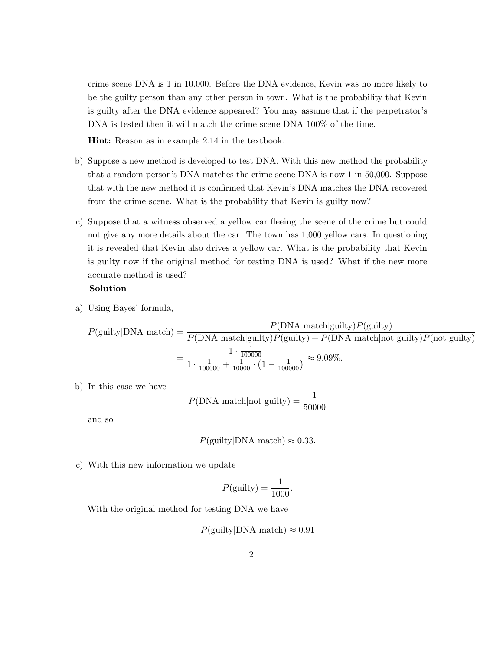crime scene DNA is 1 in 10,000. Before the DNA evidence, Kevin was no more likely to be the guilty person than any other person in town. What is the probability that Kevin is guilty after the DNA evidence appeared? You may assume that if the perpetrator's DNA is tested then it will match the crime scene DNA 100% of the time.

Hint: Reason as in example 2.14 in the textbook.

- b) Suppose a new method is developed to test DNA. With this new method the probability that a random person's DNA matches the crime scene DNA is now 1 in 50,000. Suppose that with the new method it is confirmed that Kevin's DNA matches the DNA recovered from the crime scene. What is the probability that Kevin is guilty now?
- c) Suppose that a witness observed a yellow car fleeing the scene of the crime but could not give any more details about the car. The town has 1,000 yellow cars. In questioning it is revealed that Kevin also drives a yellow car. What is the probability that Kevin is guilty now if the original method for testing DNA is used? What if the new more accurate method is used?

## Solution

a) Using Bayes' formula,

$$
P(\text{guilty}|\text{DNA match}) = \frac{P(\text{DNA match}|\text{guilty})P(\text{guilty})}{P(\text{DNA match}|\text{guilty})P(\text{guilty}) + P(\text{DNA match}|\text{not guilty})P(\text{not guilty})} = \frac{1 \cdot \frac{1}{100000}}{1 \cdot \frac{1}{100000} + \frac{1}{10000} \cdot \left(1 - \frac{1}{100000}\right)} \approx 9.09\%.
$$

b) In this case we have

$$
P(DNA \text{ match} | \text{not guilty}) = \frac{1}{50000}
$$

and so

$$
P(\text{guilty}|\text{DNA match}) \approx 0.33.
$$

c) With this new information we update

$$
P(\text{guity}) = \frac{1}{1000}.
$$

With the original method for testing DNA we have

$$
P(\text{gulty}|DNA match) \approx 0.91
$$